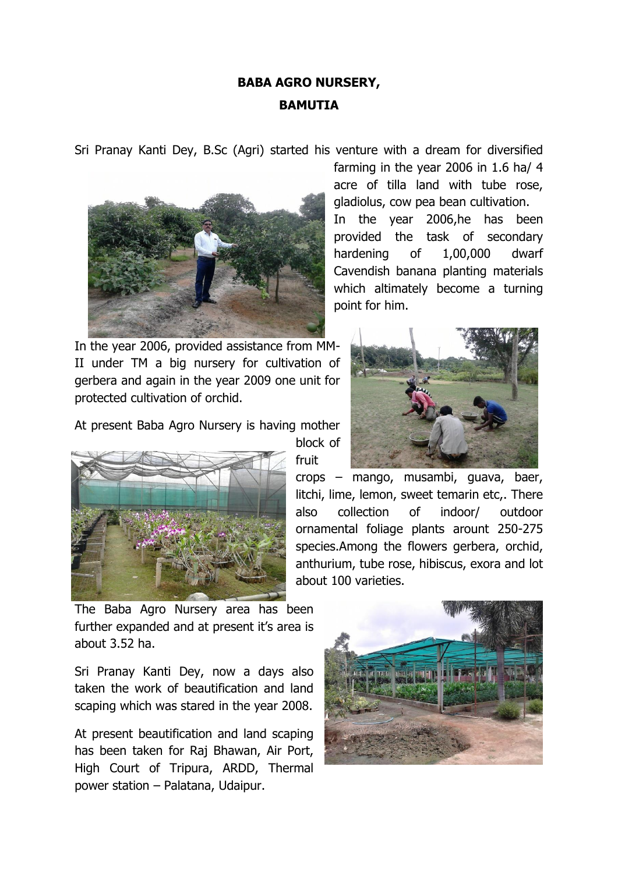## **BABA AGRO NURSERY, BAMUTIA**

Sri Pranay Kanti Dey, B.Sc (Agri) started his venture with a dream for diversified



In the year 2006, provided assistance from MM-II under TM a big nursery for cultivation of gerbera and again in the year 2009 one unit for protected cultivation of orchid.

At present Baba Agro Nursery is having mother



fruit

block of

farming in the year 2006 in 1.6 ha/ 4 acre of tilla land with tube rose, gladiolus, cow pea bean cultivation. In the year 2006,he has been provided the task of secondary hardening of 1,00,000 dwarf Cavendish banana planting materials which altimately become a turning point for him.



crops – mango, musambi, guava, baer, litchi, lime, lemon, sweet temarin etc,. There also collection of indoor/ outdoor ornamental foliage plants arount 250-275 species.Among the flowers gerbera, orchid, anthurium, tube rose, hibiscus, exora and lot about 100 varieties.

The Baba Agro Nursery area has been further expanded and at present it's area is about 3.52 ha.

Sri Pranay Kanti Dey, now a days also taken the work of beautification and land scaping which was stared in the year 2008.

At present beautification and land scaping has been taken for Raj Bhawan, Air Port, High Court of Tripura, ARDD, Thermal power station – Palatana, Udaipur.